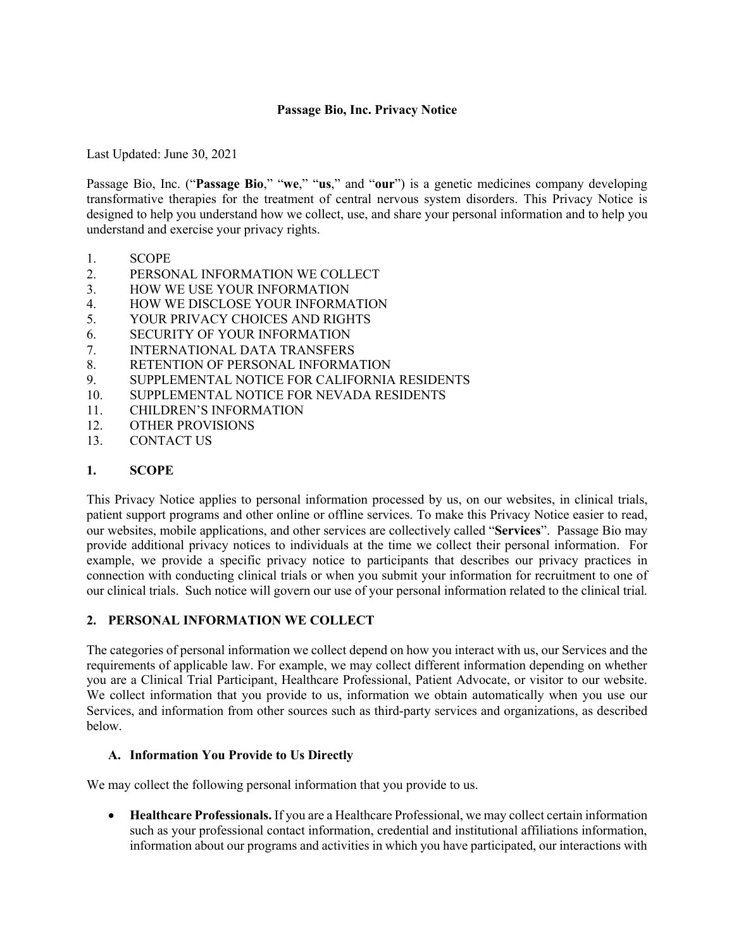## **Passage Bio, Inc. Privacy Notice**

Last Updated: June 30, 2021

Passage Bio, Inc. ("**Passage Bio**," "**we**," "**us**," and "**our**") is a genetic medicines company developing transformative therapies for the treatment of central nervous system disorders. This Privacy Notice is designed to help you understand how we collect, use, and share your personal information and to help you understand and exercise your privacy rights.

- 1. SCOPE
- 2. PERSONAL INFORMATION WE COLLECT
- 3. HOW WE USE YOUR INFORMATION
- 4. HOW WE DISCLOSE YOUR INFORMATION
- 5. YOUR PRIVACY CHOICES AND RIGHTS
- 6. SECURITY OF YOUR INFORMATION
- 7. INTERNATIONAL DATA TRANSFERS
- 8. RETENTION OF PERSONAL INFORMATION
- 9. SUPPLEMENTAL NOTICE FOR CALIFORNIA RESIDENTS
- 10. SUPPLEMENTAL NOTICE FOR NEVADA RESIDENTS
- 11. CHILDREN'S INFORMATION
- 12. OTHER PROVISIONS
- 13. CONTACT US

## **1. SCOPE**

This Privacy Notice applies to personal information processed by us, on our websites, in clinical trials, patient support programs and other online or offline services. To make this Privacy Notice easier to read, our websites, mobile applications, and other services are collectively called "**Services**". Passage Bio may provide additional privacy notices to individuals at the time we collect their personal information. For example, we provide a specific privacy notice to participants that describes our privacy practices in connection with conducting clinical trials or when you submit your information for recruitment to one of our clinical trials. Such notice will govern our use of your personal information related to the clinical trial.

### **2. PERSONAL INFORMATION WE COLLECT**

The categories of personal information we collect depend on how you interact with us, our Services and the requirements of applicable law. For example, we may collect different information depending on whether you are a Clinical Trial Participant, Healthcare Professional, Patient Advocate, or visitor to our website. We collect information that you provide to us, information we obtain automatically when you use our Services, and information from other sources such as third-party services and organizations, as described below.

### **A. Information You Provide to Us Directly**

We may collect the following personal information that you provide to us.

• **Healthcare Professionals.** If you are a Healthcare Professional, we may collect certain information such as your professional contact information, credential and institutional affiliations information, information about our programs and activities in which you have participated, our interactions with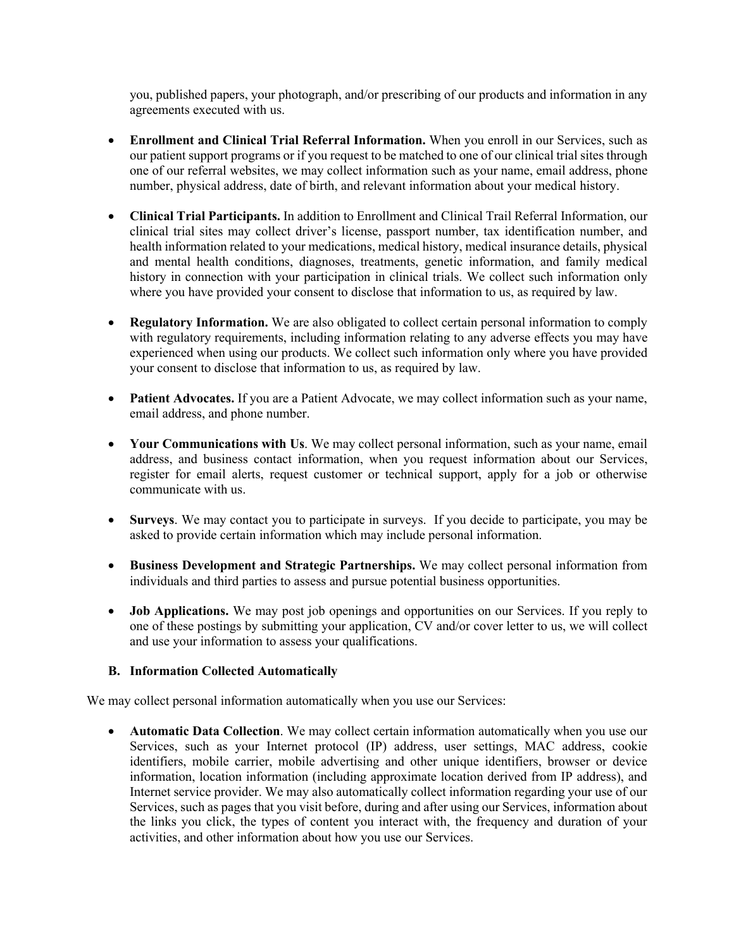you, published papers, your photograph, and/or prescribing of our products and information in any agreements executed with us.

- **Enrollment and Clinical Trial Referral Information.** When you enroll in our Services, such as our patient support programs or if you request to be matched to one of our clinical trial sites through one of our referral websites, we may collect information such as your name, email address, phone number, physical address, date of birth, and relevant information about your medical history.
- **Clinical Trial Participants.** In addition to Enrollment and Clinical Trail Referral Information, our clinical trial sites may collect driver's license, passport number, tax identification number, and health information related to your medications, medical history, medical insurance details, physical and mental health conditions, diagnoses, treatments, genetic information, and family medical history in connection with your participation in clinical trials. We collect such information only where you have provided your consent to disclose that information to us, as required by law.
- **Regulatory Information.** We are also obligated to collect certain personal information to comply with regulatory requirements, including information relating to any adverse effects you may have experienced when using our products. We collect such information only where you have provided your consent to disclose that information to us, as required by law.
- **Patient Advocates.** If you are a Patient Advocate, we may collect information such as your name, email address, and phone number.
- **Your Communications with Us**. We may collect personal information, such as your name, email address, and business contact information, when you request information about our Services, register for email alerts, request customer or technical support, apply for a job or otherwise communicate with us.
- **Surveys**. We may contact you to participate in surveys. If you decide to participate, you may be asked to provide certain information which may include personal information.
- **Business Development and Strategic Partnerships.** We may collect personal information from individuals and third parties to assess and pursue potential business opportunities.
- **Job Applications.** We may post job openings and opportunities on our Services. If you reply to one of these postings by submitting your application, CV and/or cover letter to us, we will collect and use your information to assess your qualifications.

# **B. Information Collected Automatically**

We may collect personal information automatically when you use our Services:

• **Automatic Data Collection**. We may collect certain information automatically when you use our Services, such as your Internet protocol (IP) address, user settings, MAC address, cookie identifiers, mobile carrier, mobile advertising and other unique identifiers, browser or device information, location information (including approximate location derived from IP address), and Internet service provider. We may also automatically collect information regarding your use of our Services, such as pages that you visit before, during and after using our Services, information about the links you click, the types of content you interact with, the frequency and duration of your activities, and other information about how you use our Services.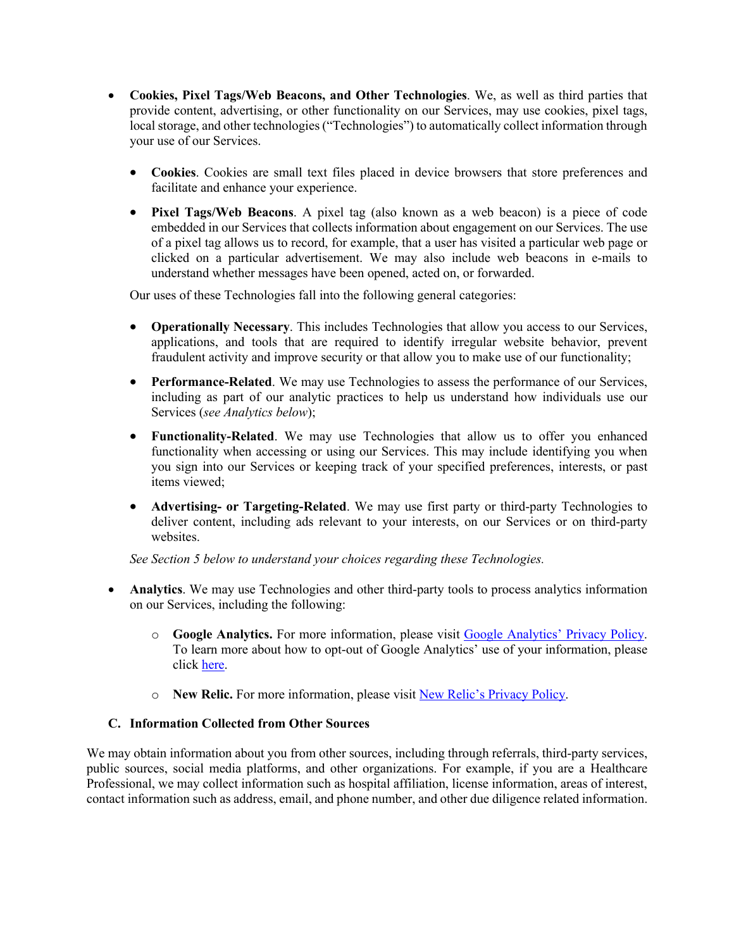- **Cookies, Pixel Tags/Web Beacons, and Other Technologies**. We, as well as third parties that provide content, advertising, or other functionality on our Services, may use cookies, pixel tags, local storage, and other technologies ("Technologies") to automatically collect information through your use of our Services.
	- **Cookies**. Cookies are small text files placed in device browsers that store preferences and facilitate and enhance your experience.
	- **Pixel Tags/Web Beacons**. A pixel tag (also known as a web beacon) is a piece of code embedded in our Services that collects information about engagement on our Services. The use of a pixel tag allows us to record, for example, that a user has visited a particular web page or clicked on a particular advertisement. We may also include web beacons in e-mails to understand whether messages have been opened, acted on, or forwarded.

Our uses of these Technologies fall into the following general categories:

- **Operationally Necessary**. This includes Technologies that allow you access to our Services, applications, and tools that are required to identify irregular website behavior, prevent fraudulent activity and improve security or that allow you to make use of our functionality;
- **Performance-Related**. We may use Technologies to assess the performance of our Services, including as part of our analytic practices to help us understand how individuals use our Services (*see Analytics below*);
- **Functionality-Related**. We may use Technologies that allow us to offer you enhanced functionality when accessing or using our Services. This may include identifying you when you sign into our Services or keeping track of your specified preferences, interests, or past items viewed;
- **Advertising- or Targeting-Related**. We may use first party or third-party Technologies to deliver content, including ads relevant to your interests, on our Services or on third-party websites.

*See Section 5 below to understand your choices regarding these Technologies.*

- **Analytics**. We may use Technologies and other third-party tools to process analytics information on our Services, including the following:
	- o **Google Analytics.** For more information, please visit Google Analytics' Privacy Policy. To learn more about how to opt-out of Google Analytics' use of your information, please click here.
	- o **New Relic.** For more information, please visit New Relic's Privacy Policy.

### **C. Information Collected from Other Sources**

We may obtain information about you from other sources, including through referrals, third-party services, public sources, social media platforms, and other organizations. For example, if you are a Healthcare Professional, we may collect information such as hospital affiliation, license information, areas of interest, contact information such as address, email, and phone number, and other due diligence related information.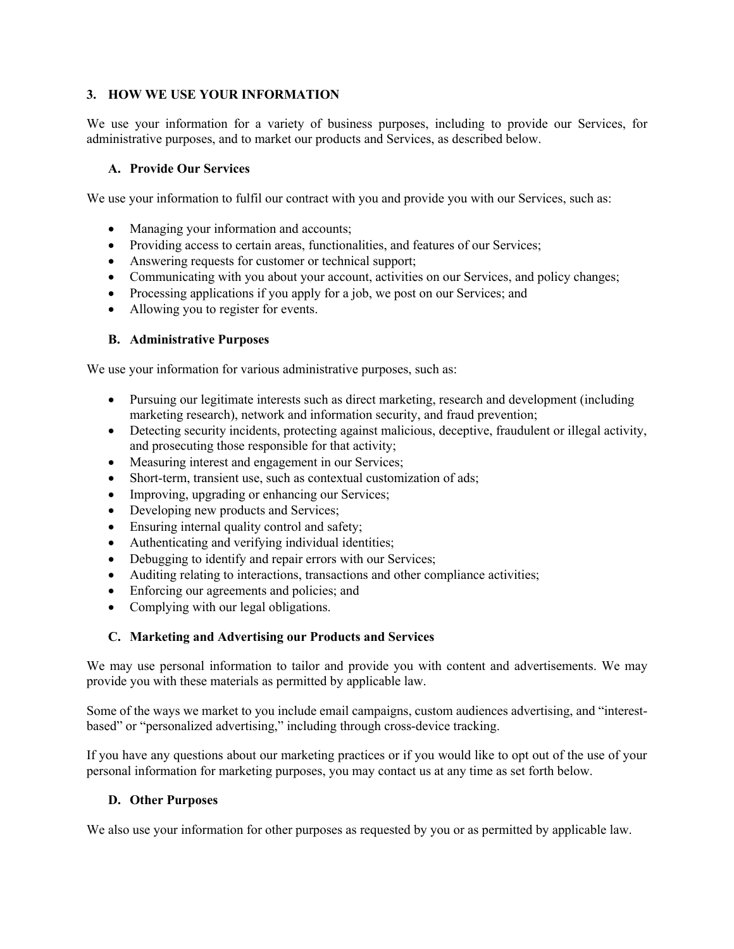## **3. HOW WE USE YOUR INFORMATION**

We use your information for a variety of business purposes, including to provide our Services, for administrative purposes, and to market our products and Services, as described below.

### **A. Provide Our Services**

We use your information to fulfil our contract with you and provide you with our Services, such as:

- Managing your information and accounts;
- Providing access to certain areas, functionalities, and features of our Services;
- Answering requests for customer or technical support;
- Communicating with you about your account, activities on our Services, and policy changes;
- Processing applications if you apply for a job, we post on our Services; and
- Allowing you to register for events.

## **B. Administrative Purposes**

We use your information for various administrative purposes, such as:

- Pursuing our legitimate interests such as direct marketing, research and development (including marketing research), network and information security, and fraud prevention;
- Detecting security incidents, protecting against malicious, deceptive, fraudulent or illegal activity, and prosecuting those responsible for that activity;
- Measuring interest and engagement in our Services;
- Short-term, transient use, such as contextual customization of ads;
- Improving, upgrading or enhancing our Services;
- Developing new products and Services;
- Ensuring internal quality control and safety;
- Authenticating and verifying individual identities;
- Debugging to identify and repair errors with our Services;
- Auditing relating to interactions, transactions and other compliance activities;
- Enforcing our agreements and policies; and
- Complying with our legal obligations.

### **C. Marketing and Advertising our Products and Services**

We may use personal information to tailor and provide you with content and advertisements. We may provide you with these materials as permitted by applicable law.

Some of the ways we market to you include email campaigns, custom audiences advertising, and "interestbased" or "personalized advertising," including through cross-device tracking.

If you have any questions about our marketing practices or if you would like to opt out of the use of your personal information for marketing purposes, you may contact us at any time as set forth below.

### **D. Other Purposes**

We also use your information for other purposes as requested by you or as permitted by applicable law.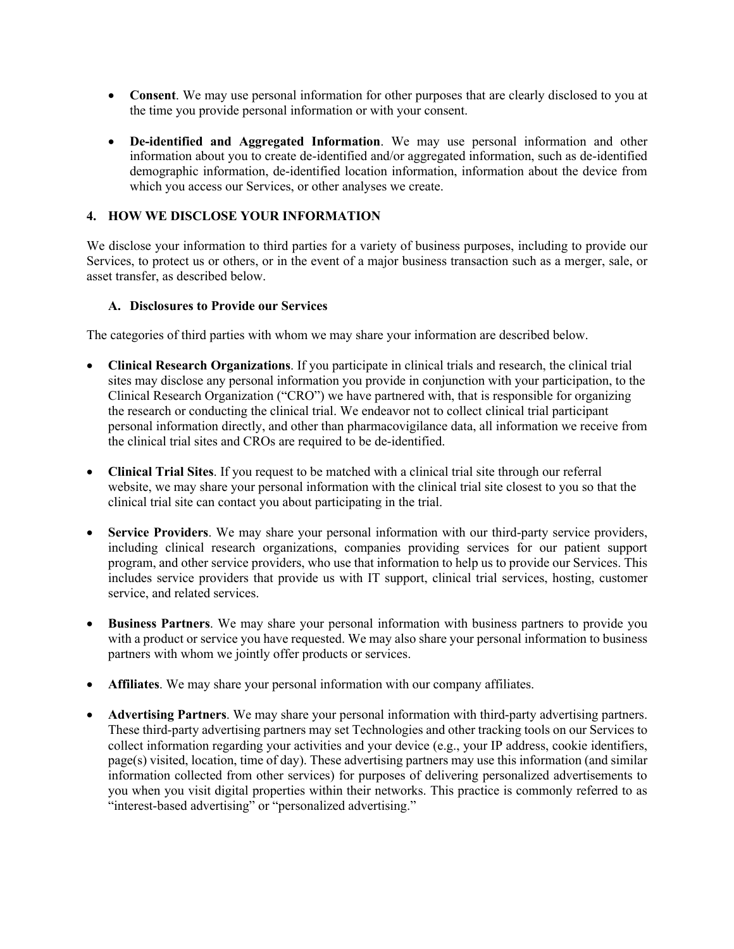- **Consent**. We may use personal information for other purposes that are clearly disclosed to you at the time you provide personal information or with your consent.
- **De-identified and Aggregated Information**. We may use personal information and other information about you to create de-identified and/or aggregated information, such as de-identified demographic information, de-identified location information, information about the device from which you access our Services, or other analyses we create.

## **4. HOW WE DISCLOSE YOUR INFORMATION**

We disclose your information to third parties for a variety of business purposes, including to provide our Services, to protect us or others, or in the event of a major business transaction such as a merger, sale, or asset transfer, as described below.

### **A. Disclosures to Provide our Services**

The categories of third parties with whom we may share your information are described below.

- **Clinical Research Organizations**. If you participate in clinical trials and research, the clinical trial sites may disclose any personal information you provide in conjunction with your participation, to the Clinical Research Organization ("CRO") we have partnered with, that is responsible for organizing the research or conducting the clinical trial. We endeavor not to collect clinical trial participant personal information directly, and other than pharmacovigilance data, all information we receive from the clinical trial sites and CROs are required to be de-identified.
- **Clinical Trial Sites**. If you request to be matched with a clinical trial site through our referral website, we may share your personal information with the clinical trial site closest to you so that the clinical trial site can contact you about participating in the trial.
- Service Providers. We may share your personal information with our third-party service providers, including clinical research organizations, companies providing services for our patient support program, and other service providers, who use that information to help us to provide our Services. This includes service providers that provide us with IT support, clinical trial services, hosting, customer service, and related services.
- **Business Partners**. We may share your personal information with business partners to provide you with a product or service you have requested. We may also share your personal information to business partners with whom we jointly offer products or services.
- **Affiliates**. We may share your personal information with our company affiliates.
- **Advertising Partners**. We may share your personal information with third-party advertising partners. These third-party advertising partners may set Technologies and other tracking tools on our Services to collect information regarding your activities and your device (e.g., your IP address, cookie identifiers, page(s) visited, location, time of day). These advertising partners may use this information (and similar information collected from other services) for purposes of delivering personalized advertisements to you when you visit digital properties within their networks. This practice is commonly referred to as "interest-based advertising" or "personalized advertising."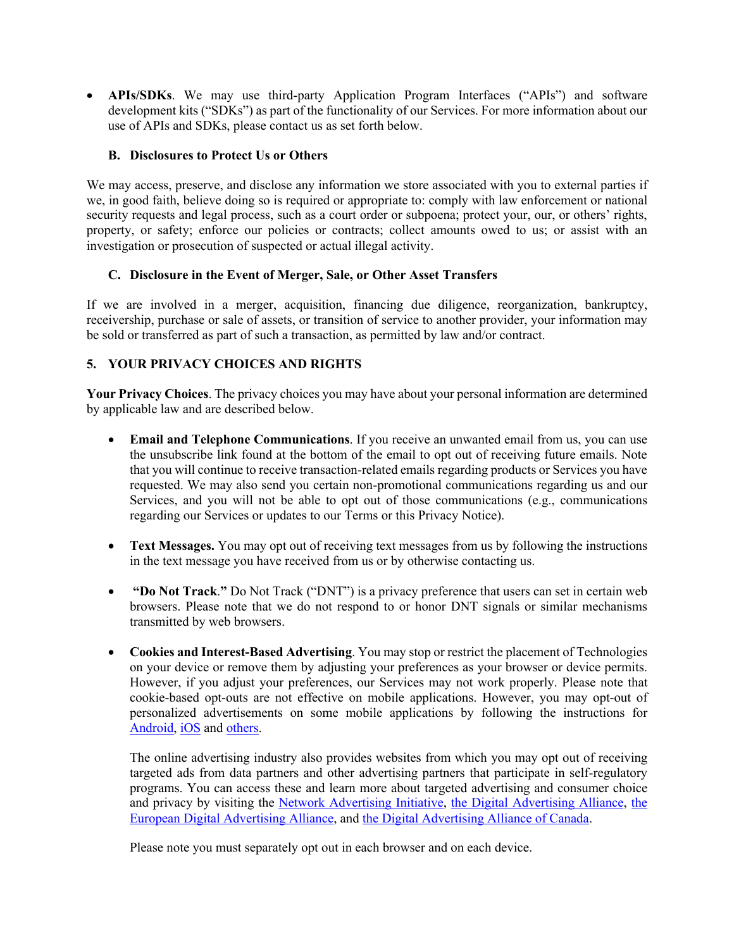• **APIs/SDKs**. We may use third-party Application Program Interfaces ("APIs") and software development kits ("SDKs") as part of the functionality of our Services. For more information about our use of APIs and SDKs, please contact us as set forth below.

## **B. Disclosures to Protect Us or Others**

We may access, preserve, and disclose any information we store associated with you to external parties if we, in good faith, believe doing so is required or appropriate to: comply with law enforcement or national security requests and legal process, such as a court order or subpoena; protect your, our, or others' rights, property, or safety; enforce our policies or contracts; collect amounts owed to us; or assist with an investigation or prosecution of suspected or actual illegal activity.

## **C. Disclosure in the Event of Merger, Sale, or Other Asset Transfers**

If we are involved in a merger, acquisition, financing due diligence, reorganization, bankruptcy, receivership, purchase or sale of assets, or transition of service to another provider, your information may be sold or transferred as part of such a transaction, as permitted by law and/or contract.

# **5. YOUR PRIVACY CHOICES AND RIGHTS**

**Your Privacy Choices**. The privacy choices you may have about your personal information are determined by applicable law and are described below.

- **Email and Telephone Communications**. If you receive an unwanted email from us, you can use the unsubscribe link found at the bottom of the email to opt out of receiving future emails. Note that you will continue to receive transaction-related emails regarding products or Services you have requested. We may also send you certain non-promotional communications regarding us and our Services, and you will not be able to opt out of those communications (e.g., communications regarding our Services or updates to our Terms or this Privacy Notice).
- **Text Messages.** You may opt out of receiving text messages from us by following the instructions in the text message you have received from us or by otherwise contacting us.
- **"Do Not Track**.**"** Do Not Track ("DNT") is a privacy preference that users can set in certain web browsers. Please note that we do not respond to or honor DNT signals or similar mechanisms transmitted by web browsers.
- **Cookies and Interest-Based Advertising**. You may stop or restrict the placement of Technologies on your device or remove them by adjusting your preferences as your browser or device permits. However, if you adjust your preferences, our Services may not work properly. Please note that cookie-based opt-outs are not effective on mobile applications. However, you may opt-out of personalized advertisements on some mobile applications by following the instructions for Android, iOS and others.

The online advertising industry also provides websites from which you may opt out of receiving targeted ads from data partners and other advertising partners that participate in self-regulatory programs. You can access these and learn more about targeted advertising and consumer choice and privacy by visiting the Network Advertising Initiative, the Digital Advertising Alliance, the European Digital Advertising Alliance, and the Digital Advertising Alliance of Canada.

Please note you must separately opt out in each browser and on each device.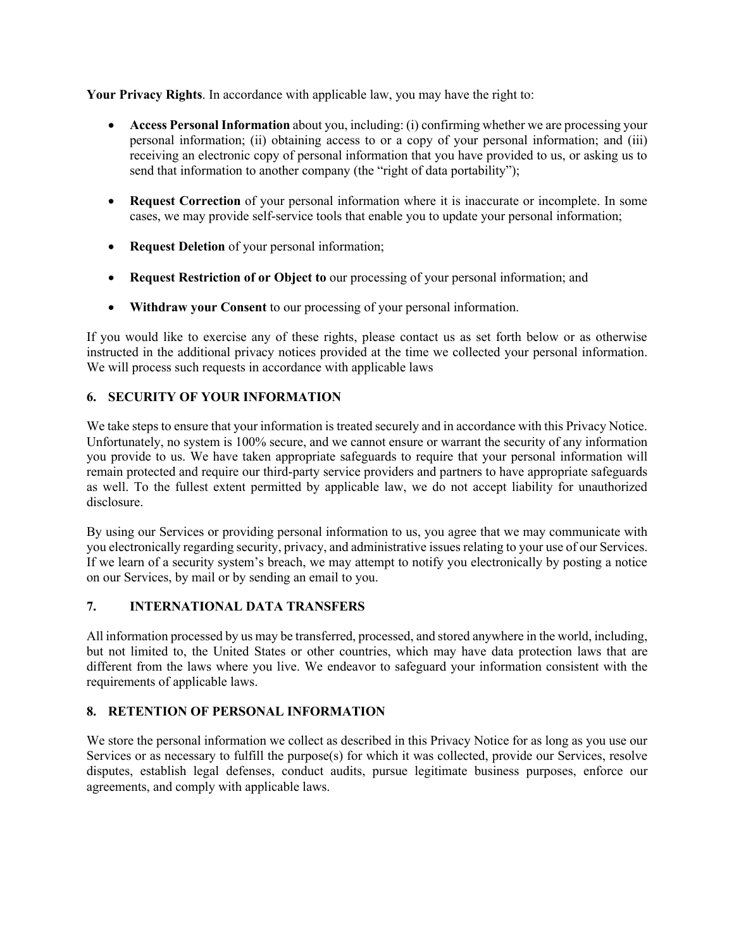**Your Privacy Rights**. In accordance with applicable law, you may have the right to:

- **Access Personal Information** about you, including: (i) confirming whether we are processing your personal information; (ii) obtaining access to or a copy of your personal information; and (iii) receiving an electronic copy of personal information that you have provided to us, or asking us to send that information to another company (the "right of data portability");
- **Request Correction** of your personal information where it is inaccurate or incomplete. In some cases, we may provide self-service tools that enable you to update your personal information;
- **Request Deletion** of your personal information;
- **Request Restriction of or Object to** our processing of your personal information; and
- **Withdraw your Consent** to our processing of your personal information.

If you would like to exercise any of these rights, please contact us as set forth below or as otherwise instructed in the additional privacy notices provided at the time we collected your personal information. We will process such requests in accordance with applicable laws

# **6. SECURITY OF YOUR INFORMATION**

We take steps to ensure that your information is treated securely and in accordance with this Privacy Notice. Unfortunately, no system is 100% secure, and we cannot ensure or warrant the security of any information you provide to us. We have taken appropriate safeguards to require that your personal information will remain protected and require our third-party service providers and partners to have appropriate safeguards as well. To the fullest extent permitted by applicable law, we do not accept liability for unauthorized disclosure.

By using our Services or providing personal information to us, you agree that we may communicate with you electronically regarding security, privacy, and administrative issues relating to your use of our Services. If we learn of a security system's breach, we may attempt to notify you electronically by posting a notice on our Services, by mail or by sending an email to you.

# **7. INTERNATIONAL DATA TRANSFERS**

All information processed by us may be transferred, processed, and stored anywhere in the world, including, but not limited to, the United States or other countries, which may have data protection laws that are different from the laws where you live. We endeavor to safeguard your information consistent with the requirements of applicable laws.

# **8. RETENTION OF PERSONAL INFORMATION**

We store the personal information we collect as described in this Privacy Notice for as long as you use our Services or as necessary to fulfill the purpose(s) for which it was collected, provide our Services, resolve disputes, establish legal defenses, conduct audits, pursue legitimate business purposes, enforce our agreements, and comply with applicable laws.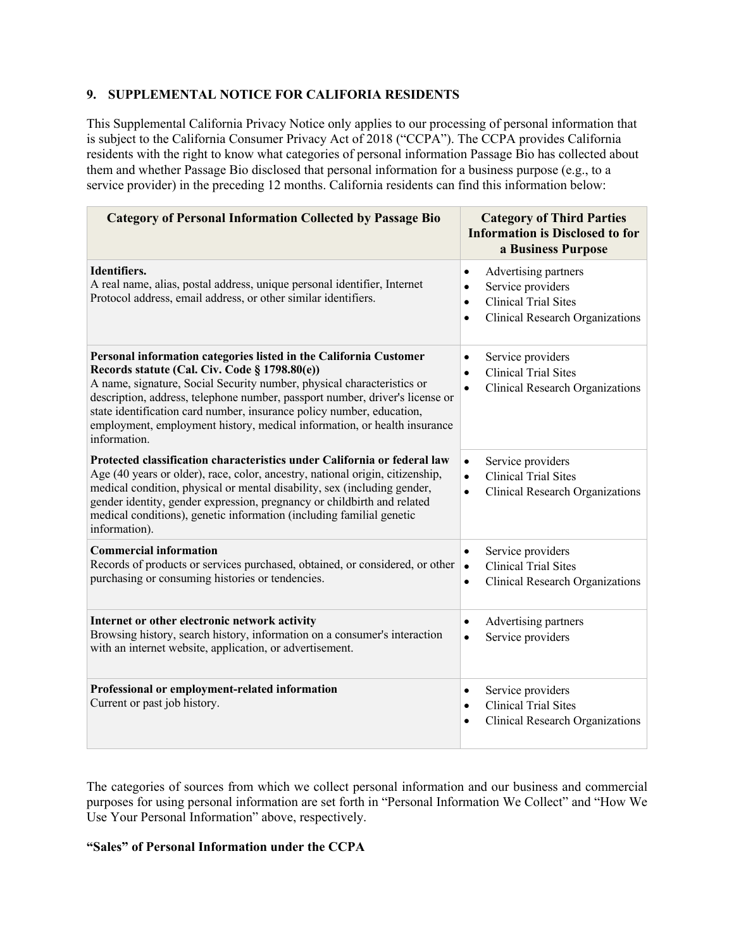## **9. SUPPLEMENTAL NOTICE FOR CALIFORIA RESIDENTS**

This Supplemental California Privacy Notice only applies to our processing of personal information that is subject to the California Consumer Privacy Act of 2018 ("CCPA"). The CCPA provides California residents with the right to know what categories of personal information Passage Bio has collected about them and whether Passage Bio disclosed that personal information for a business purpose (e.g., to a service provider) in the preceding 12 months. California residents can find this information below:

| <b>Category of Personal Information Collected by Passage Bio</b>                                                                                                                                                                                                                                                                                                                                                                                  | <b>Category of Third Parties</b><br><b>Information is Disclosed to for</b><br>a Business Purpose                                                                |
|---------------------------------------------------------------------------------------------------------------------------------------------------------------------------------------------------------------------------------------------------------------------------------------------------------------------------------------------------------------------------------------------------------------------------------------------------|-----------------------------------------------------------------------------------------------------------------------------------------------------------------|
| Identifiers.<br>A real name, alias, postal address, unique personal identifier, Internet<br>Protocol address, email address, or other similar identifiers.                                                                                                                                                                                                                                                                                        | Advertising partners<br>$\bullet$<br>Service providers<br>$\bullet$<br><b>Clinical Trial Sites</b><br>$\bullet$<br>Clinical Research Organizations<br>$\bullet$ |
| Personal information categories listed in the California Customer<br>Records statute (Cal. Civ. Code § 1798.80(e))<br>A name, signature, Social Security number, physical characteristics or<br>description, address, telephone number, passport number, driver's license or<br>state identification card number, insurance policy number, education,<br>employment, employment history, medical information, or health insurance<br>information. | Service providers<br>$\bullet$<br><b>Clinical Trial Sites</b><br>$\bullet$<br><b>Clinical Research Organizations</b><br>$\bullet$                               |
| Protected classification characteristics under California or federal law<br>Age (40 years or older), race, color, ancestry, national origin, citizenship,<br>medical condition, physical or mental disability, sex (including gender,<br>gender identity, gender expression, pregnancy or childbirth and related<br>medical conditions), genetic information (including familial genetic<br>information).                                         | Service providers<br>$\bullet$<br><b>Clinical Trial Sites</b><br>$\bullet$<br><b>Clinical Research Organizations</b><br>$\bullet$                               |
| <b>Commercial information</b><br>Records of products or services purchased, obtained, or considered, or other<br>purchasing or consuming histories or tendencies.                                                                                                                                                                                                                                                                                 | Service providers<br>$\bullet$<br><b>Clinical Trial Sites</b><br>$\bullet$<br><b>Clinical Research Organizations</b><br>$\bullet$                               |
| Internet or other electronic network activity<br>Browsing history, search history, information on a consumer's interaction<br>with an internet website, application, or advertisement.                                                                                                                                                                                                                                                            | Advertising partners<br>$\bullet$<br>Service providers<br>$\bullet$                                                                                             |
| Professional or employment-related information<br>Current or past job history.                                                                                                                                                                                                                                                                                                                                                                    | Service providers<br>$\bullet$<br><b>Clinical Trial Sites</b><br>$\bullet$<br>Clinical Research Organizations<br>$\bullet$                                      |

The categories of sources from which we collect personal information and our business and commercial purposes for using personal information are set forth in "Personal Information We Collect" and "How We Use Your Personal Information" above, respectively.

## **"Sales" of Personal Information under the CCPA**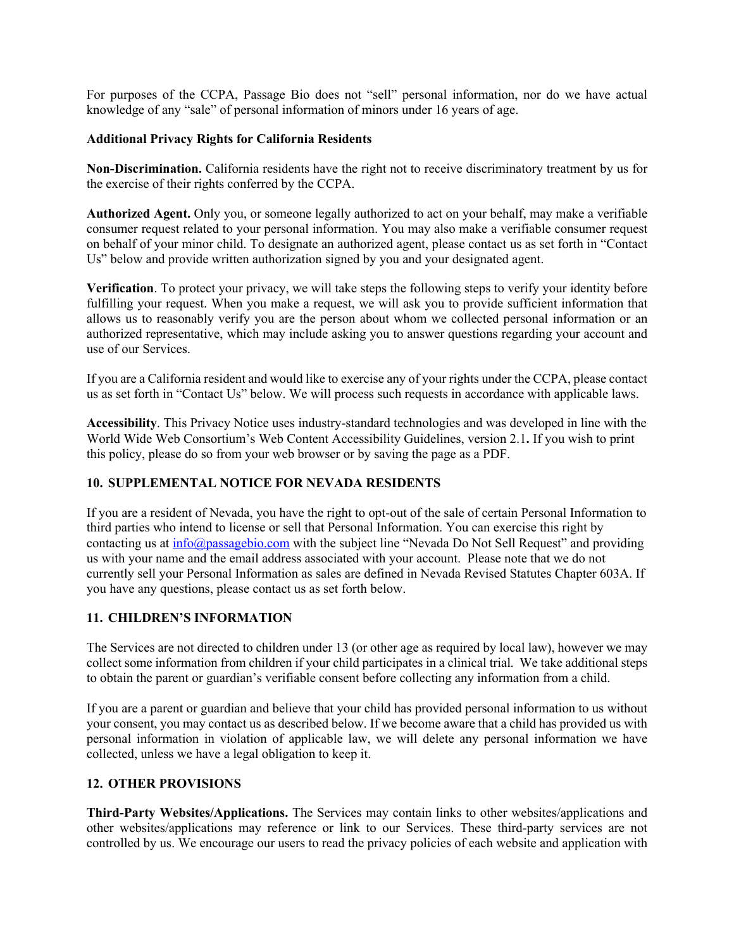For purposes of the CCPA, Passage Bio does not "sell" personal information, nor do we have actual knowledge of any "sale" of personal information of minors under 16 years of age.

### **Additional Privacy Rights for California Residents**

**Non-Discrimination.** California residents have the right not to receive discriminatory treatment by us for the exercise of their rights conferred by the CCPA.

**Authorized Agent.** Only you, or someone legally authorized to act on your behalf, may make a verifiable consumer request related to your personal information. You may also make a verifiable consumer request on behalf of your minor child. To designate an authorized agent, please contact us as set forth in "Contact Us" below and provide written authorization signed by you and your designated agent.

**Verification**. To protect your privacy, we will take steps the following steps to verify your identity before fulfilling your request. When you make a request, we will ask you to provide sufficient information that allows us to reasonably verify you are the person about whom we collected personal information or an authorized representative, which may include asking you to answer questions regarding your account and use of our Services.

If you are a California resident and would like to exercise any of your rights under the CCPA, please contact us as set forth in "Contact Us" below. We will process such requests in accordance with applicable laws.

**Accessibility**. This Privacy Notice uses industry-standard technologies and was developed in line with the World Wide Web Consortium's Web Content Accessibility Guidelines, version 2.1**.** If you wish to print this policy, please do so from your web browser or by saving the page as a PDF.

### **10. SUPPLEMENTAL NOTICE FOR NEVADA RESIDENTS**

If you are a resident of Nevada, you have the right to opt-out of the sale of certain Personal Information to third parties who intend to license or sell that Personal Information. You can exercise this right by contacting us at  $info@passagebio.com$  with the subject line "Nevada Do Not Sell Request" and providing us with your name and the email address associated with your account. Please note that we do not currently sell your Personal Information as sales are defined in Nevada Revised Statutes Chapter 603A. If you have any questions, please contact us as set forth below.

### **11. CHILDREN'S INFORMATION**

The Services are not directed to children under 13 (or other age as required by local law), however we may collect some information from children if your child participates in a clinical trial. We take additional steps to obtain the parent or guardian's verifiable consent before collecting any information from a child.

If you are a parent or guardian and believe that your child has provided personal information to us without your consent, you may contact us as described below. If we become aware that a child has provided us with personal information in violation of applicable law, we will delete any personal information we have collected, unless we have a legal obligation to keep it.

# **12. OTHER PROVISIONS**

**Third-Party Websites/Applications.** The Services may contain links to other websites/applications and other websites/applications may reference or link to our Services. These third-party services are not controlled by us. We encourage our users to read the privacy policies of each website and application with